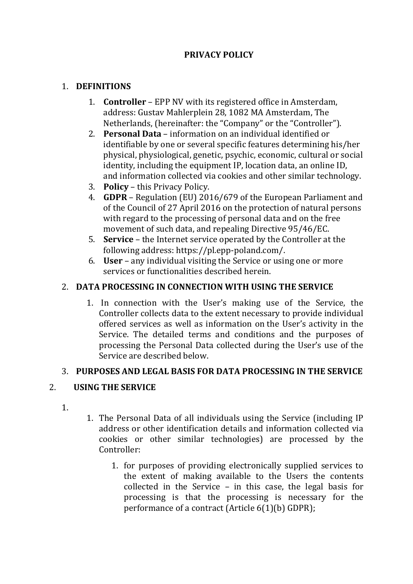# **PRIVACY POLICY**

#### 1. **DEFINITIONS**

- 1. **Controller** EPP NV with its registered office in Amsterdam, address: Gustav Mahlerplein 28, 1082 MA Amsterdam, The Netherlands, (hereinafter: the "Company" or the "Controller").
- 2. **Personal Data** information on an individual identified or identifiable by one or several specific features determining his/her physical, physiological, genetic, psychic, economic, cultural or social identity, including the equipment IP, location data, an online ID, and information collected via cookies and other similar technology.
- 3. **Policy** this Privacy Policy.
- 4. **GDPR** Regulation (EU) 2016/679 of the European Parliament and of the Council of 27 April 2016 on the protection of natural persons with regard to the processing of personal data and on the free movement of such data, and repealing Directive 95/46/EC.
- 5. **Service** the Internet service operated by the Controller at the following address: https://pl.epp-poland.com/.
- 6. **User** any individual visiting the Service or using one or more services or functionalities described herein.

# 2. **DATA PROCESSING IN CONNECTION WITH USING THE SERVICE**

1. In connection with the User's making use of the Service, the Controller collects data to the extent necessary to provide individual offered services as well as information on the User's activity in the Service. The detailed terms and conditions and the purposes of processing the Personal Data collected during the User's use of the Service are described below.

# 3. **PURPOSES AND LEGAL BASIS FOR DATA PROCESSING IN THE SERVICE**

# 2. **USING THE SERVICE**

- 1.
- 1. The Personal Data of all individuals using the Service (including IP address or other identification details and information collected via cookies or other similar technologies) are processed by the Controller:
	- 1. for purposes of providing electronically supplied services to the extent of making available to the Users the contents collected in the Service – in this case, the legal basis for processing is that the processing is necessary for the performance of a contract (Article 6(1)(b) GDPR);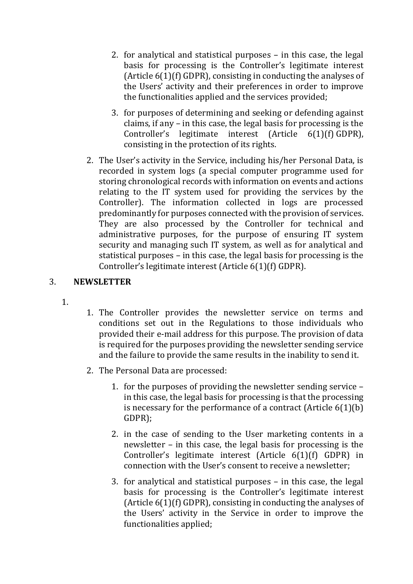- 2. for analytical and statistical purposes in this case, the legal basis for processing is the Controller's legitimate interest (Article 6(1)(f) GDPR), consisting in conducting the analyses of the Users' activity and their preferences in order to improve the functionalities applied and the services provided;
- 3. for purposes of determining and seeking or defending against claims, if any – in this case, the legal basis for processing is the Controller's legitimate interest (Article 6(1)(f) GDPR), consisting in the protection of its rights.
- 2. The User's activity in the Service, including his/her Personal Data, is recorded in system logs (a special computer programme used for storing chronological records with information on events and actions relating to the IT system used for providing the services by the Controller). The information collected in logs are processed predominantly for purposes connected with the provision of services. They are also processed by the Controller for technical and administrative purposes, for the purpose of ensuring IT system security and managing such IT system, as well as for analytical and statistical purposes – in this case, the legal basis for processing is the Controller's legitimate interest (Article 6(1)(f) GDPR).

#### 3. **NEWSLETTER**

- 1.
- 1. The Controller provides the newsletter service on terms and conditions set out in the Regulations to those individuals who provided their e-mail address for this purpose. The provision of data is required for the purposes providing the newsletter sending service and the failure to provide the same results in the inability to send it.
- 2. The Personal Data are processed:
	- 1. for the purposes of providing the newsletter sending service in this case, the legal basis for processing is that the processing is necessary for the performance of a contract (Article 6(1)(b) GDPR);
	- 2. in the case of sending to the User marketing contents in a newsletter – in this case, the legal basis for processing is the Controller's legitimate interest (Article 6(1)(f) GDPR) in connection with the User's consent to receive a newsletter;
	- 3. for analytical and statistical purposes in this case, the legal basis for processing is the Controller's legitimate interest (Article 6(1)(f) GDPR), consisting in conducting the analyses of the Users' activity in the Service in order to improve the functionalities applied;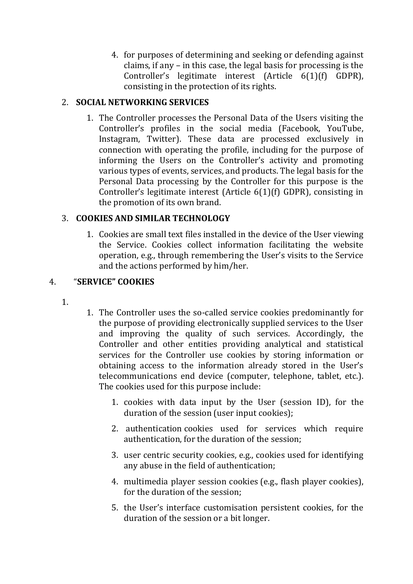4. for purposes of determining and seeking or defending against claims, if any – in this case, the legal basis for processing is the Controller's legitimate interest (Article 6(1)(f) GDPR), consisting in the protection of its rights.

## 2. **SOCIAL NETWORKING SERVICES**

1. The Controller processes the Personal Data of the Users visiting the Controller's profiles in the social media (Facebook, YouTube, Instagram, Twitter). These data are processed exclusively in connection with operating the profile, including for the purpose of informing the Users on the Controller's activity and promoting various types of events, services, and products. The legal basis for the Personal Data processing by the Controller for this purpose is the Controller's legitimate interest (Article 6(1)(f) GDPR), consisting in the promotion of its own brand.

## 3. **COOKIES AND SIMILAR TECHNOLOGY**

1. Cookies are small text files installed in the device of the User viewing the Service. Cookies collect information facilitating the website operation, e.g., through remembering the User's visits to the Service and the actions performed by him/her.

## 4. "**SERVICE" COOKIES**

- 1.
- 1. The Controller uses the so-called service cookies predominantly for the purpose of providing electronically supplied services to the User and improving the quality of such services. Accordingly, the Controller and other entities providing analytical and statistical services for the Controller use cookies by storing information or obtaining access to the information already stored in the User's telecommunications end device (computer, telephone, tablet, etc.). The cookies used for this purpose include:
	- 1. cookies with data input by the User (session ID), for the duration of the session (user input cookies);
	- 2. authentication cookies used for services which require authentication, for the duration of the session;
	- 3. user centric security cookies, e.g., cookies used for identifying any abuse in the field of authentication;
	- 4. multimedia player session cookies (e.g., flash player cookies), for the duration of the session;
	- 5. the User's interface customisation persistent cookies, for the duration of the session or a bit longer.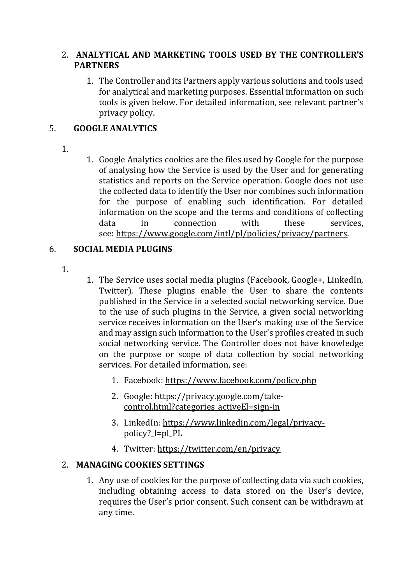#### 2. **ANALYTICAL AND MARKETING TOOLS USED BY THE CONTROLLER'S PARTNERS**

1. The Controller and its Partners apply various solutions and tools used for analytical and marketing purposes. Essential information on such tools is given below. For detailed information, see relevant partner's privacy policy.

## 5. **GOOGLE ANALYTICS**

- 1.
- 1. Google Analytics cookies are the files used by Google for the purpose of analysing how the Service is used by the User and for generating statistics and reports on the Service operation. Google does not use the collected data to identify the User nor combines such information for the purpose of enabling such identification. For detailed information on the scope and the terms and conditions of collecting data in connection with these services, see: [https://www.google.com/intl/pl/policies/privacy/partners.](https://www.google.com/intl/pl/policies/privacy/partners)

# 6. **SOCIAL MEDIA PLUGINS**

- 1.
- 1. The Service uses social media plugins (Facebook, Google+, LinkedIn, Twitter). These plugins enable the User to share the contents published in the Service in a selected social networking service. Due to the use of such plugins in the Service, a given social networking service receives information on the User's making use of the Service and may assign such information to the User's profiles created in such social networking service. The Controller does not have knowledge on the purpose or scope of data collection by social networking services. For detailed information, see:
	- 1. Facebook: <https://www.facebook.com/policy.php>
	- 2. Google: [https://privacy.google.com/take](https://privacy.google.com/take-control.html?categories_activeEl=sign-in)[control.html?categories\\_activeEl=sign-in](https://privacy.google.com/take-control.html?categories_activeEl=sign-in)
	- 3. LinkedIn: [https://www.linkedin.com/legal/privacy](https://www.linkedin.com/legal/privacy-policy?_l=pl_PL)[policy?\\_l=pl\\_PL](https://www.linkedin.com/legal/privacy-policy?_l=pl_PL)
	- 4. Twitter: <https://twitter.com/en/privacy>

# 2. **MANAGING COOKIES SETTINGS**

1. Any use of cookies for the purpose of collecting data via such cookies, including obtaining access to data stored on the User's device, requires the User's prior consent. Such consent can be withdrawn at any time.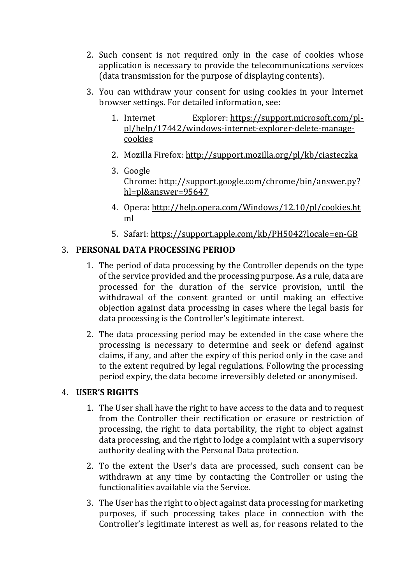- 2. Such consent is not required only in the case of cookies whose application is necessary to provide the telecommunications services (data transmission for the purpose of displaying contents).
- 3. You can withdraw your consent for using cookies in your Internet browser settings. For detailed information, see:
	- 1. Internet Explorer: [https://support.microsoft.com/pl](https://support.microsoft.com/pl-pl/help/17442/windows-internet-explorer-delete-manage-cookies)[pl/help/17442/windows-internet-explorer-delete-manage](https://support.microsoft.com/pl-pl/help/17442/windows-internet-explorer-delete-manage-cookies)[cookies](https://support.microsoft.com/pl-pl/help/17442/windows-internet-explorer-delete-manage-cookies)
	- 2. Mozilla Firefox: <http://support.mozilla.org/pl/kb/ciasteczka>
	- 3. Google Chrome: [http://support.google.com/chrome/bin/answer.py?](http://support.google.com/chrome/bin/answer.py?hl=pl&answer=95647) [hl=pl&answer=95647](http://support.google.com/chrome/bin/answer.py?hl=pl&answer=95647)
	- 4. Opera: [http://help.opera.com/Windows/12.10/pl/cookies.ht](http://help.opera.com/Windows/12.10/pl/cookies.html) [ml](http://help.opera.com/Windows/12.10/pl/cookies.html)
	- 5. Safari: <https://support.apple.com/kb/PH5042?locale=en-GB>

#### 3. **PERSONAL DATA PROCESSING PERIOD**

- 1. The period of data processing by the Controller depends on the type of the service provided and the processing purpose. As a rule, data are processed for the duration of the service provision, until the withdrawal of the consent granted or until making an effective objection against data processing in cases where the legal basis for data processing is the Controller's legitimate interest.
- 2. The data processing period may be extended in the case where the processing is necessary to determine and seek or defend against claims, if any, and after the expiry of this period only in the case and to the extent required by legal regulations. Following the processing period expiry, the data become irreversibly deleted or anonymised.

#### 4. **USER'S RIGHTS**

- 1. The User shall have the right to have access to the data and to request from the Controller their rectification or erasure or restriction of processing, the right to data portability, the right to object against data processing, and the right to lodge a complaint with a supervisory authority dealing with the Personal Data protection.
- 2. To the extent the User's data are processed, such consent can be withdrawn at any time by contacting the Controller or using the functionalities available via the Service.
- 3. The User has the right to object against data processing for marketing purposes, if such processing takes place in connection with the Controller's legitimate interest as well as, for reasons related to the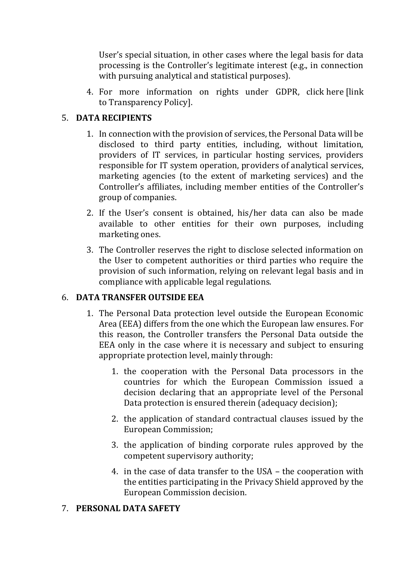User's special situation, in other cases where the legal basis for data processing is the Controller's legitimate interest (e.g., in connection with pursuing analytical and statistical purposes).

4. For more information on rights under GDPR, click here [link to Transparency Policy].

#### 5. **DATA RECIPIENTS**

- 1. In connection with the provision of services, the Personal Data will be disclosed to third party entities, including, without limitation, providers of IT services, in particular hosting services, providers responsible for IT system operation, providers of analytical services, marketing agencies (to the extent of marketing services) and the Controller's affiliates, including member entities of the Controller's group of companies.
- 2. If the User's consent is obtained, his/her data can also be made available to other entities for their own purposes, including marketing ones.
- 3. The Controller reserves the right to disclose selected information on the User to competent authorities or third parties who require the provision of such information, relying on relevant legal basis and in compliance with applicable legal regulations.

#### 6. **DATA TRANSFER OUTSIDE EEA**

- 1. The Personal Data protection level outside the European Economic Area (EEA) differs from the one which the European law ensures. For this reason, the Controller transfers the Personal Data outside the EEA only in the case where it is necessary and subject to ensuring appropriate protection level, mainly through:
	- 1. the cooperation with the Personal Data processors in the countries for which the European Commission issued a decision declaring that an appropriate level of the Personal Data protection is ensured therein (adequacy decision);
	- 2. the application of standard contractual clauses issued by the European Commission;
	- 3. the application of binding corporate rules approved by the competent supervisory authority;
	- 4. in the case of data transfer to the USA the cooperation with the entities participating in the Privacy Shield approved by the European Commission decision.

#### 7. **PERSONAL DATA SAFETY**